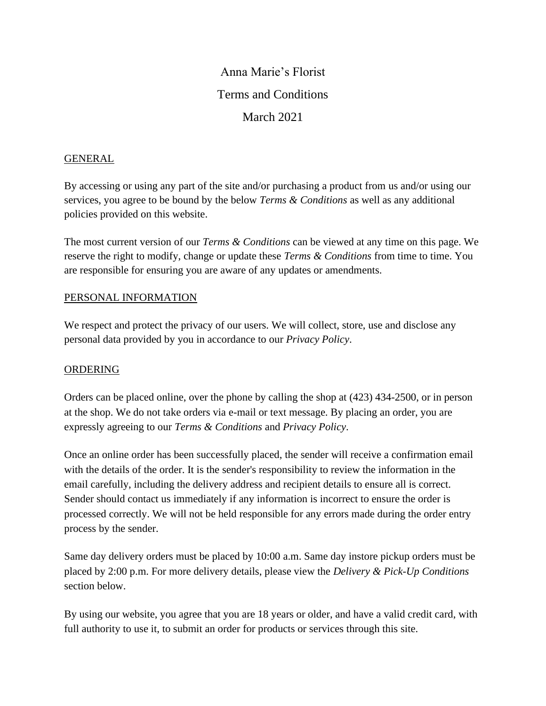# Anna Marie's Florist Terms and Conditions March 2021

## GENERAL

By accessing or using any part of the site and/or purchasing a product from us and/or using our services, you agree to be bound by the below *Terms & Conditions* as well as any additional policies provided on this website.

The most current version of our *Terms & Conditions* can be viewed at any time on this page. We reserve the right to modify, change or update these *Terms & Conditions* from time to time. You are responsible for ensuring you are aware of any updates or amendments.

## PERSONAL INFORMATION

We respect and protect the privacy of our users. We will collect, store, use and disclose any personal data provided by you in accordance to our *Privacy Policy*.

#### ORDERING

Orders can be placed online, over the phone by calling the shop at (423) 434-2500, or in person at the shop. We do not take orders via e-mail or text message. By placing an order, you are expressly agreeing to our *Terms & Conditions* and *Privacy Policy*.

Once an online order has been successfully placed, the sender will receive a confirmation email with the details of the order. It is the sender's responsibility to review the information in the email carefully, including the delivery address and recipient details to ensure all is correct. Sender should contact us immediately if any information is incorrect to ensure the order is processed correctly. We will not be held responsible for any errors made during the order entry process by the sender.

Same day delivery orders must be placed by 10:00 a.m. Same day instore pickup orders must be placed by 2:00 p.m. For more delivery details, please view the *Delivery & Pick-Up Conditions* section below.

By using our website, you agree that you are 18 years or older, and have a valid credit card, with full authority to use it, to submit an order for products or services through this site.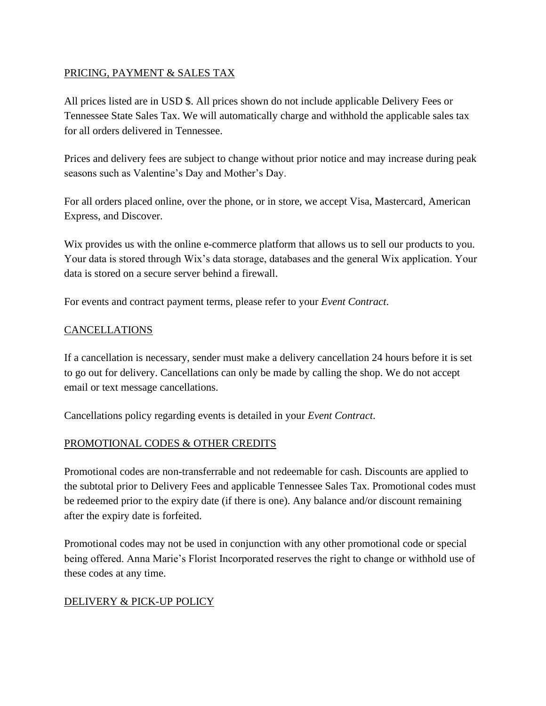# PRICING, PAYMENT & SALES TAX

All prices listed are in USD \$. All prices shown do not include applicable Delivery Fees or Tennessee State Sales Tax. We will automatically charge and withhold the applicable sales tax for all orders delivered in Tennessee.

Prices and delivery fees are subject to change without prior notice and may increase during peak seasons such as Valentine's Day and Mother's Day.

For all orders placed online, over the phone, or in store, we accept Visa, Mastercard, American Express, and Discover.

Wix provides us with the online e-commerce platform that allows us to sell our products to you. Your data is stored through Wix's data storage, databases and the general Wix application. Your data is stored on a secure server behind a firewall.

For events and contract payment terms, please refer to your *Event Contract*.

## CANCELLATIONS

If a cancellation is necessary, sender must make a delivery cancellation 24 hours before it is set to go out for delivery. Cancellations can only be made by calling the shop. We do not accept email or text message cancellations.

Cancellations policy regarding events is detailed in your *Event Contract*.

# PROMOTIONAL CODES & OTHER CREDITS

Promotional codes are non-transferrable and not redeemable for cash. Discounts are applied to the subtotal prior to Delivery Fees and applicable Tennessee Sales Tax. Promotional codes must be redeemed prior to the expiry date (if there is one). Any balance and/or discount remaining after the expiry date is forfeited.

Promotional codes may not be used in conjunction with any other promotional code or special being offered. Anna Marie's Florist Incorporated reserves the right to change or withhold use of these codes at any time.

# DELIVERY & PICK-UP POLICY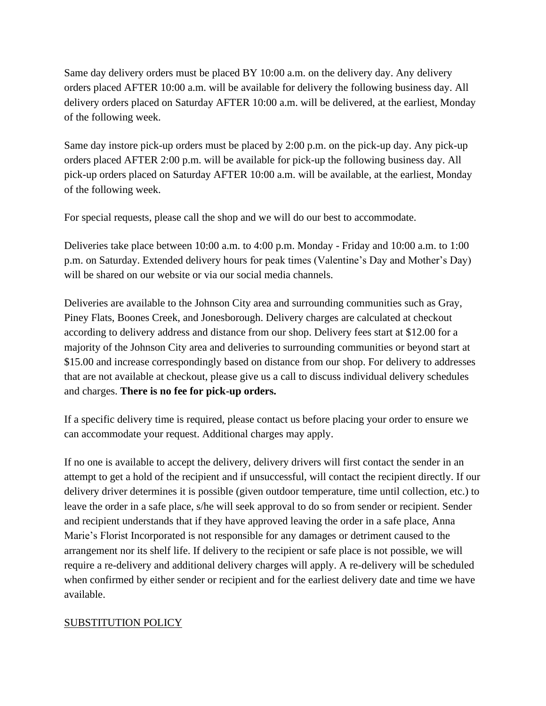Same day delivery orders must be placed BY 10:00 a.m. on the delivery day. Any delivery orders placed AFTER 10:00 a.m. will be available for delivery the following business day. All delivery orders placed on Saturday AFTER 10:00 a.m. will be delivered, at the earliest, Monday of the following week.

Same day instore pick-up orders must be placed by 2:00 p.m. on the pick-up day. Any pick-up orders placed AFTER 2:00 p.m. will be available for pick-up the following business day. All pick-up orders placed on Saturday AFTER 10:00 a.m. will be available, at the earliest, Monday of the following week.

For special requests, please call the shop and we will do our best to accommodate.

Deliveries take place between 10:00 a.m. to 4:00 p.m. Monday - Friday and 10:00 a.m. to 1:00 p.m. on Saturday. Extended delivery hours for peak times (Valentine's Day and Mother's Day) will be shared on our website or via our social media channels.

Deliveries are available to the Johnson City area and surrounding communities such as Gray, Piney Flats, Boones Creek, and Jonesborough. Delivery charges are calculated at checkout according to delivery address and distance from our shop. Delivery fees start at \$12.00 for a majority of the Johnson City area and deliveries to surrounding communities or beyond start at \$15.00 and increase correspondingly based on distance from our shop. For delivery to addresses that are not available at checkout, please give us a call to discuss individual delivery schedules and charges. **There is no fee for pick-up orders.**

If a specific delivery time is required, please contact us before placing your order to ensure we can accommodate your request. Additional charges may apply.

If no one is available to accept the delivery, delivery drivers will first contact the sender in an attempt to get a hold of the recipient and if unsuccessful, will contact the recipient directly. If our delivery driver determines it is possible (given outdoor temperature, time until collection, etc.) to leave the order in a safe place, s/he will seek approval to do so from sender or recipient. Sender and recipient understands that if they have approved leaving the order in a safe place, Anna Marie's Florist Incorporated is not responsible for any damages or detriment caused to the arrangement nor its shelf life. If delivery to the recipient or safe place is not possible, we will require a re-delivery and additional delivery charges will apply. A re-delivery will be scheduled when confirmed by either sender or recipient and for the earliest delivery date and time we have available.

#### SUBSTITUTION POLICY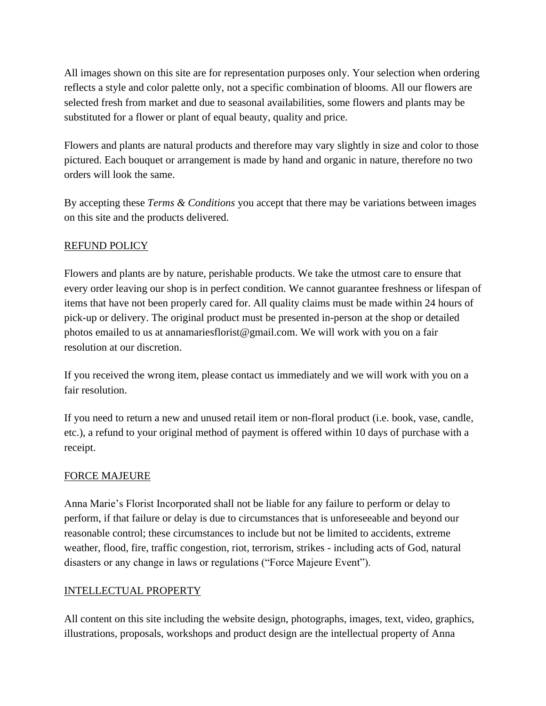All images shown on this site are for representation purposes only. Your selection when ordering reflects a style and color palette only, not a specific combination of blooms. All our flowers are selected fresh from market and due to seasonal availabilities, some flowers and plants may be substituted for a flower or plant of equal beauty, quality and price.

Flowers and plants are natural products and therefore may vary slightly in size and color to those pictured. Each bouquet or arrangement is made by hand and organic in nature, therefore no two orders will look the same.

By accepting these *Terms & Conditions* you accept that there may be variations between images on this site and the products delivered.

## REFUND POLICY

Flowers and plants are by nature, perishable products. We take the utmost care to ensure that every order leaving our shop is in perfect condition. We cannot guarantee freshness or lifespan of items that have not been properly cared for. All quality claims must be made within 24 hours of pick-up or delivery. The original product must be presented in-person at the shop or detailed photos emailed to us at annamariesflorist@gmail.com. We will work with you on a fair resolution at our discretion.

If you received the wrong item, please contact us immediately and we will work with you on a fair resolution.

If you need to return a new and unused retail item or non-floral product (i.e. book, vase, candle, etc.), a refund to your original method of payment is offered within 10 days of purchase with a receipt.

#### FORCE MAJEURE

Anna Marie's Florist Incorporated shall not be liable for any failure to perform or delay to perform, if that failure or delay is due to circumstances that is unforeseeable and beyond our reasonable control; these circumstances to include but not be limited to accidents, extreme weather, flood, fire, traffic congestion, riot, terrorism, strikes - including acts of God, natural disasters or any change in laws or regulations ("Force Majeure Event").

#### INTELLECTUAL PROPERTY

All content on this site including the website design, photographs, images, text, video, graphics, illustrations, proposals, workshops and product design are the intellectual property of Anna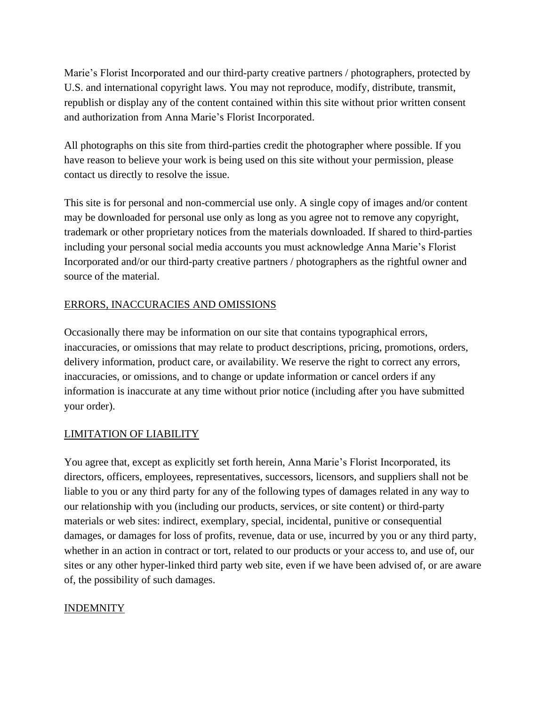Marie's Florist Incorporated and our third-party creative partners / photographers, protected by U.S. and international copyright laws. You may not reproduce, modify, distribute, transmit, republish or display any of the content contained within this site without prior written consent and authorization from Anna Marie's Florist Incorporated.

All photographs on this site from third-parties credit the photographer where possible. If you have reason to believe your work is being used on this site without your permission, please contact us directly to resolve the issue.

This site is for personal and non-commercial use only. A single copy of images and/or content may be downloaded for personal use only as long as you agree not to remove any copyright, trademark or other proprietary notices from the materials downloaded. If shared to third-parties including your personal social media accounts you must acknowledge Anna Marie's Florist Incorporated and/or our third-party creative partners / photographers as the rightful owner and source of the material.

# ERRORS, INACCURACIES AND OMISSIONS

Occasionally there may be information on our site that contains typographical errors, inaccuracies, or omissions that may relate to product descriptions, pricing, promotions, orders, delivery information, product care, or availability. We reserve the right to correct any errors, inaccuracies, or omissions, and to change or update information or cancel orders if any information is inaccurate at any time without prior notice (including after you have submitted your order).

# LIMITATION OF LIABILITY

You agree that, except as explicitly set forth herein, Anna Marie's Florist Incorporated, its directors, officers, employees, representatives, successors, licensors, and suppliers shall not be liable to you or any third party for any of the following types of damages related in any way to our relationship with you (including our products, services, or site content) or third-party materials or web sites: indirect, exemplary, special, incidental, punitive or consequential damages, or damages for loss of profits, revenue, data or use, incurred by you or any third party, whether in an action in contract or tort, related to our products or your access to, and use of, our sites or any other hyper-linked third party web site, even if we have been advised of, or are aware of, the possibility of such damages.

# INDEMNITY